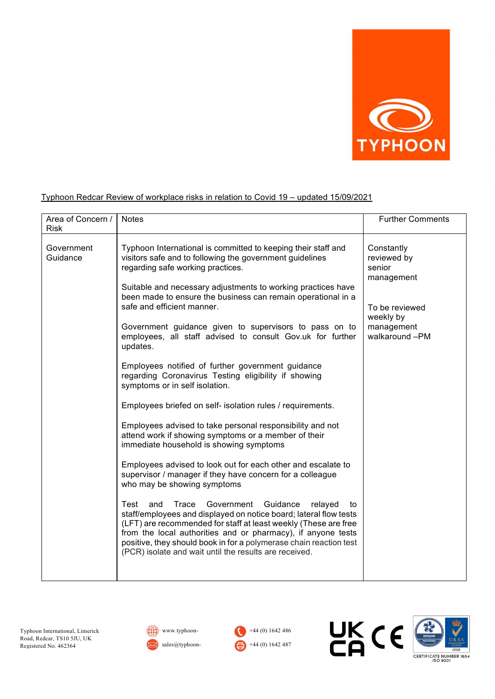

## Typhoon Redcar Review of workplace risks in relation to Covid 19 – updated 15/09/2021

| Area of Concern /<br><b>Risk</b> | <b>Notes</b>                                                                                                                                                                                                                                                                                                                                                                                                                                                                                                                                                                                                                                                                                                                                                                                                                                                                                                                                                                                                                                                                                                                                   | <b>Further Comments</b>                                                                                          |
|----------------------------------|------------------------------------------------------------------------------------------------------------------------------------------------------------------------------------------------------------------------------------------------------------------------------------------------------------------------------------------------------------------------------------------------------------------------------------------------------------------------------------------------------------------------------------------------------------------------------------------------------------------------------------------------------------------------------------------------------------------------------------------------------------------------------------------------------------------------------------------------------------------------------------------------------------------------------------------------------------------------------------------------------------------------------------------------------------------------------------------------------------------------------------------------|------------------------------------------------------------------------------------------------------------------|
| Government<br>Guidance           | Typhoon International is committed to keeping their staff and<br>visitors safe and to following the government guidelines<br>regarding safe working practices.<br>Suitable and necessary adjustments to working practices have<br>been made to ensure the business can remain operational in a<br>safe and efficient manner.<br>Government guidance given to supervisors to pass on to<br>employees, all staff advised to consult Gov.uk for further<br>updates.<br>Employees notified of further government guidance<br>regarding Coronavirus Testing eligibility if showing<br>symptoms or in self isolation.<br>Employees briefed on self- isolation rules / requirements.<br>Employees advised to take personal responsibility and not<br>attend work if showing symptoms or a member of their<br>immediate household is showing symptoms<br>Employees advised to look out for each other and escalate to<br>supervisor / manager if they have concern for a colleague<br>who may be showing symptoms<br>Trace<br>Government Guidance<br>Test<br>and<br>relayed<br>to<br>staff/employees and displayed on notice board; lateral flow tests | Constantly<br>reviewed by<br>senior<br>management<br>To be reviewed<br>weekly by<br>management<br>walkaround -PM |
|                                  | (LFT) are recommended for staff at least weekly (These are free<br>from the local authorities and or pharmacy), if anyone tests<br>positive, they should book in for a polymerase chain reaction test<br>(PCR) isolate and wait until the results are received.                                                                                                                                                                                                                                                                                                                                                                                                                                                                                                                                                                                                                                                                                                                                                                                                                                                                                |                                                                                                                  |







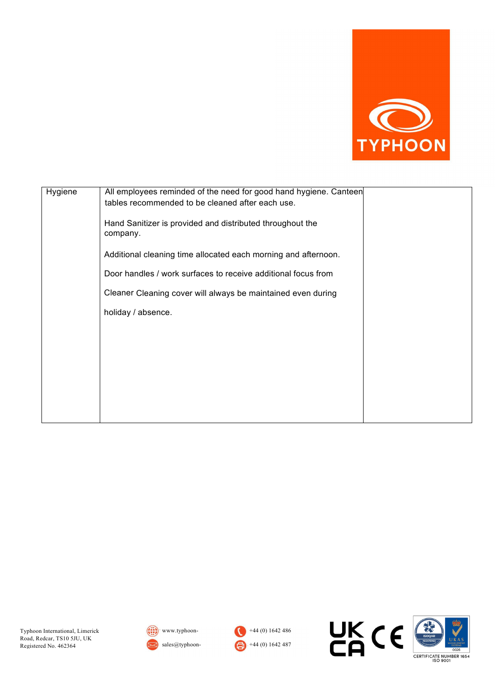

| Hygiene | All employees reminded of the need for good hand hygiene. Canteen     |
|---------|-----------------------------------------------------------------------|
|         | tables recommended to be cleaned after each use.                      |
|         | Hand Sanitizer is provided and distributed throughout the<br>company. |
|         | Additional cleaning time allocated each morning and afternoon.        |
|         | Door handles / work surfaces to receive additional focus from         |
|         | Cleaner Cleaning cover will always be maintained even during          |
|         | holiday / absence.                                                    |
|         |                                                                       |
|         |                                                                       |
|         |                                                                       |
|         |                                                                       |
|         |                                                                       |
|         |                                                                       |







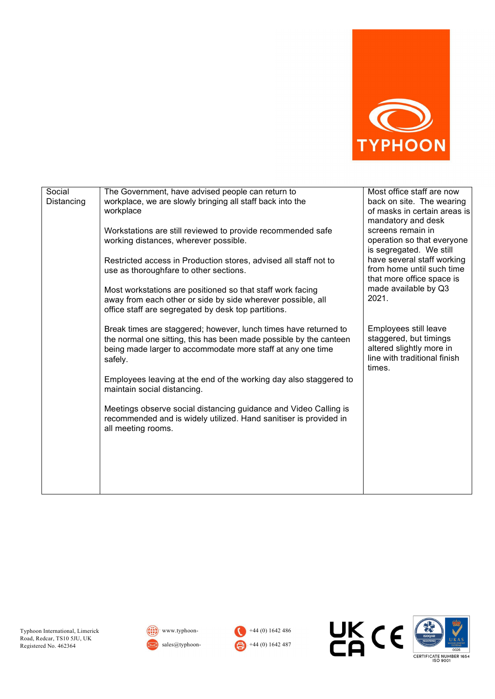

| Social<br>Distancing | The Government, have advised people can return to<br>workplace, we are slowly bringing all staff back into the                                                                                                   | Most office staff are now<br>back on site. The wearing                                                                |
|----------------------|------------------------------------------------------------------------------------------------------------------------------------------------------------------------------------------------------------------|-----------------------------------------------------------------------------------------------------------------------|
|                      | workplace                                                                                                                                                                                                        | of masks in certain areas is<br>mandatory and desk                                                                    |
|                      | Workstations are still reviewed to provide recommended safe<br>working distances, wherever possible.                                                                                                             | screens remain in<br>operation so that everyone                                                                       |
|                      | Restricted access in Production stores, advised all staff not to                                                                                                                                                 | is segregated. We still<br>have several staff working                                                                 |
|                      | use as thoroughfare to other sections.                                                                                                                                                                           | from home until such time<br>that more office space is                                                                |
|                      | Most workstations are positioned so that staff work facing<br>away from each other or side by side wherever possible, all                                                                                        | made available by Q3<br>2021.                                                                                         |
|                      | office staff are segregated by desk top partitions.                                                                                                                                                              |                                                                                                                       |
|                      | Break times are staggered; however, lunch times have returned to<br>the normal one sitting, this has been made possible by the canteen<br>being made larger to accommodate more staff at any one time<br>safely. | Employees still leave<br>staggered, but timings<br>altered slightly more in<br>line with traditional finish<br>times. |
|                      | Employees leaving at the end of the working day also staggered to<br>maintain social distancing.                                                                                                                 |                                                                                                                       |
|                      | Meetings observe social distancing guidance and Video Calling is<br>recommended and is widely utilized. Hand sanitiser is provided in<br>all meeting rooms.                                                      |                                                                                                                       |
|                      |                                                                                                                                                                                                                  |                                                                                                                       |
|                      |                                                                                                                                                                                                                  |                                                                                                                       |
|                      |                                                                                                                                                                                                                  |                                                                                                                       |